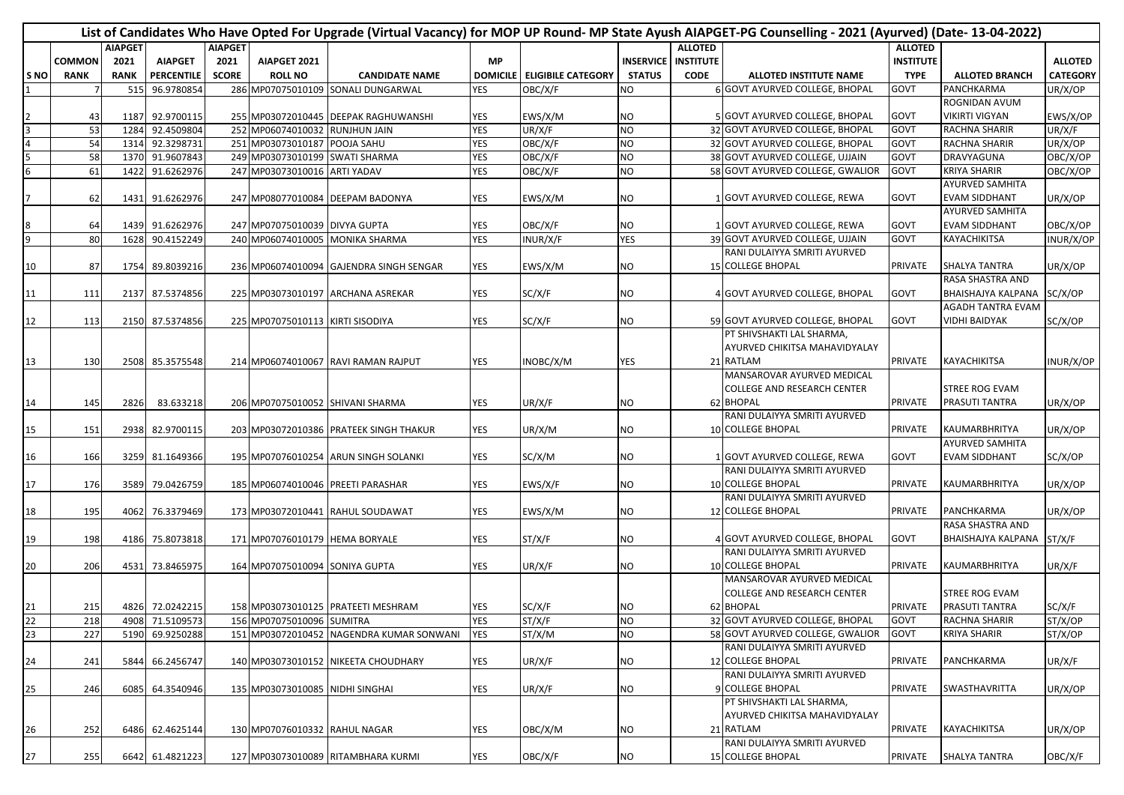|      |               |             |                   |                |                                  | List of Candidates Who Have Opted For Upgrade (Virtual Vacancy) for MOP UP Round-MP State Ayush AIAPGET-PG Counselling - 2021 (Ayurved) (Date-13-04-2022) |            |                               |               |                            |                                    |                  |                           |                 |
|------|---------------|-------------|-------------------|----------------|----------------------------------|-----------------------------------------------------------------------------------------------------------------------------------------------------------|------------|-------------------------------|---------------|----------------------------|------------------------------------|------------------|---------------------------|-----------------|
|      |               | AIAPGET     |                   | <b>AIAPGET</b> |                                  |                                                                                                                                                           |            |                               |               | <b>ALLOTED</b>             |                                    | <b>ALLOTED</b>   |                           |                 |
|      | <b>COMMON</b> | 2021        | <b>AIAPGET</b>    | 2021           | AIAPGET 2021                     |                                                                                                                                                           | <b>MP</b>  |                               |               | <b>INSERVICE INSTITUTE</b> |                                    | <b>INSTITUTE</b> |                           | <b>ALLOTED</b>  |
| S NO | <b>RANK</b>   | <b>RANK</b> | <b>PERCENTILE</b> | <b>SCORE</b>   | <b>ROLL NO</b>                   | <b>CANDIDATE NAME</b>                                                                                                                                     |            | DOMICILE   ELIGIBILE CATEGORY | <b>STATUS</b> | <b>CODE</b>                | ALLOTED INSTITUTE NAME             | <b>TYPE</b>      | <b>ALLOTED BRANCH</b>     | <b>CATEGORY</b> |
|      |               | 515         | 96.9780854        |                |                                  | 286 MP07075010109 SONALI DUNGARWAL                                                                                                                        | <b>YES</b> | OBC/X/F                       | ΝO            |                            | 6 GOVT AYURVED COLLEGE, BHOPAL     | GOVT             | PANCHKARMA                | UR/X/OP         |
|      |               |             |                   |                |                                  |                                                                                                                                                           |            |                               |               |                            |                                    |                  | ROGNIDAN AVUM             |                 |
|      | 43            |             | 1187 92.9700115   |                |                                  | 255 MP03072010445 DEEPAK RAGHUWANSHI                                                                                                                      | YES        | EWS/X/M                       | NO            |                            | 5 GOVT AYURVED COLLEGE, BHOPAL     | GOVT             | <b>VIKIRTI VIGYAN</b>     | EWS/X/OP        |
|      | 53            | 1284        | 92.4509804        |                | 252 MP06074010032 RUNJHUN JAIN   |                                                                                                                                                           | <b>YES</b> | UR/X/F                        | NO.           |                            | 32 GOVT AYURVED COLLEGE, BHOPAL    | GOVT             | <b>RACHNA SHARIR</b>      | UR/X/F          |
|      | 54            | 1314        | 92.3298731        |                | 251 MP03073010187 POOJA SAHU     |                                                                                                                                                           | <b>YES</b> | OBC/X/F                       | <b>NO</b>     |                            | 32 GOVT AYURVED COLLEGE, BHOPAL    | <b>GOVT</b>      | RACHNA SHARIR             | UR/X/OP         |
|      | 58            | 1370        | 91.9607843        |                | 249 MP03073010199 SWATI SHARMA   |                                                                                                                                                           | <b>YES</b> | OBC/X/F                       | <b>NO</b>     |                            | 38 GOVT AYURVED COLLEGE, UJJAIN    | <b>GOVT</b>      | DRAVYAGUNA                | OBC/X/OP        |
| 6    | 61            | 1422        | 91.6262976        |                | 247 MP03073010016 ARTI YADAV     |                                                                                                                                                           | YES        | OBC/X/F                       | NO.           |                            | 58 GOVT AYURVED COLLEGE, GWALIOR   | GOVT             | <b>KRIYA SHARIR</b>       | OBC/X/OP        |
|      |               |             |                   |                |                                  |                                                                                                                                                           |            |                               |               |                            |                                    |                  | <b>AYURVED SAMHITA</b>    |                 |
|      | 62            |             | 1431 91.6262976   |                |                                  | 247 MP08077010084 DEEPAM BADONYA                                                                                                                          | YES        | EWS/X/M                       | NO.           |                            | 1 GOVT AYURVED COLLEGE, REWA       | <b>GOVT</b>      | <b>EVAM SIDDHANT</b>      | UR/X/OP         |
|      |               |             |                   |                |                                  |                                                                                                                                                           |            |                               |               |                            |                                    |                  | <b>AYURVED SAMHITA</b>    |                 |
|      | 64            |             | 1439 91.6262976   |                | 247 MP07075010039 DIVYA GUPTA    |                                                                                                                                                           | YES        | OBC/X/F                       | NO.           |                            | 1 GOVT AYURVED COLLEGE, REWA       | GOVT             | <b>EVAM SIDDHANT</b>      | OBC/X/OP        |
| 9    | 80            | 1628        | 90.4152249        |                |                                  | 240 MP06074010005 MONIKA SHARMA                                                                                                                           | <b>YES</b> | INUR/X/F                      | YES           |                            | 39 GOVT AYURVED COLLEGE, UJJAIN    | <b>GOVT</b>      | KAYACHIKITSA              | INUR/X/OP       |
|      |               |             |                   |                |                                  |                                                                                                                                                           |            |                               |               |                            | RANI DULAIYYA SMRITI AYURVED       |                  |                           |                 |
| 10   | 87            |             | 1754 89.8039216   |                |                                  | 236 MP06074010094 GAJENDRA SINGH SENGAR                                                                                                                   | YES        | EWS/X/M                       | NO            |                            | <b>15 COLLEGE BHOPAL</b>           | <b>PRIVATE</b>   | <b>SHALYA TANTRA</b>      | UR/X/OP         |
|      |               |             |                   |                |                                  |                                                                                                                                                           |            |                               |               |                            |                                    |                  | RASA SHASTRA AND          |                 |
| 11   | 111           |             | 2137 87.5374856   |                |                                  | 225 MP03073010197 ARCHANA ASREKAR                                                                                                                         | YES        | SC/X/F                        | NO.           |                            | 4 GOVT AYURVED COLLEGE, BHOPAL     | <b>GOVT</b>      | BHAISHAJYA KALPANA        | SC/X/OP         |
|      |               |             |                   |                |                                  |                                                                                                                                                           |            |                               |               |                            |                                    |                  | AGADH TANTRA EVAM         |                 |
| 12   | 113           |             | 2150 87.5374856   |                | 225 MP07075010113 KIRTI SISODIYA |                                                                                                                                                           | YES        | SC/X/F                        | NO            |                            | 59 GOVT AYURVED COLLEGE, BHOPAL    | GOVT             | <b>VIDHI BAIDYAK</b>      | SC/X/OP         |
|      |               |             |                   |                |                                  |                                                                                                                                                           |            |                               |               |                            | PT SHIVSHAKTI LAL SHARMA,          |                  |                           |                 |
|      |               |             |                   |                |                                  |                                                                                                                                                           |            |                               |               |                            | AYURVED CHIKITSA MAHAVIDYALAY      |                  |                           |                 |
| 13   | 130           |             | 2508 85.3575548   |                |                                  | 214 MP06074010067 RAVI RAMAN RAJPUT                                                                                                                       | YES        | INOBC/X/M                     | YES           |                            | 21 RATLAM                          | <b>PRIVATE</b>   | <b>KAYACHIKITSA</b>       | INUR/X/OP       |
|      |               |             |                   |                |                                  |                                                                                                                                                           |            |                               |               |                            | MANSAROVAR AYURVED MEDICAL         |                  |                           |                 |
|      |               |             |                   |                |                                  |                                                                                                                                                           |            |                               |               |                            | COLLEGE AND RESEARCH CENTER        |                  | STREE ROG EVAM            |                 |
| 14   | 145           | 2826        | 83.633218         |                |                                  | 206 MP07075010052 SHIVANI SHARMA                                                                                                                          | YES        | UR/X/F                        | NO            |                            | 62 BHOPAL                          | PRIVATE          | PRASUTI TANTRA            | UR/X/OP         |
|      |               |             |                   |                |                                  |                                                                                                                                                           |            |                               |               |                            | RANI DULAIYYA SMRITI AYURVED       |                  |                           |                 |
| 15   | 151           |             | 2938 82.9700115   |                |                                  | 203 MP03072010386 PRATEEK SINGH THAKUR                                                                                                                    | YES        | UR/X/M                        | NO.           |                            | 10 COLLEGE BHOPAL                  | PRIVATE          | KAUMARBHRITYA             | UR/X/OP         |
|      |               |             |                   |                |                                  |                                                                                                                                                           |            |                               |               |                            |                                    |                  | <b>AYURVED SAMHITA</b>    |                 |
| 16   | 166           |             | 3259 81.1649366   |                |                                  | 195 MP07076010254 ARUN SINGH SOLANKI                                                                                                                      | YES        | SC/X/M                        | NO            |                            | 1 GOVT AYURVED COLLEGE, REWA       | <b>GOVT</b>      | <b>EVAM SIDDHANT</b>      | SC/X/OP         |
|      |               |             |                   |                |                                  |                                                                                                                                                           |            |                               |               |                            | RANI DULAIYYA SMRITI AYURVED       |                  |                           |                 |
| 17   | 176           |             | 3589 79.0426759   |                |                                  | 185 MP06074010046 PREETI PARASHAR                                                                                                                         | YES        | EWS/X/F                       | NO.           |                            | 10 COLLEGE BHOPAL                  | <b>PRIVATE</b>   | <b>KAUMARBHRITYA</b>      | UR/X/OP         |
|      |               |             |                   |                |                                  |                                                                                                                                                           |            |                               |               |                            | RANI DULAIYYA SMRITI AYURVED       |                  |                           |                 |
| 18   | 195           |             | 4062 76.3379469   |                |                                  | 173 MP03072010441 RAHUL SOUDAWAT                                                                                                                          | YES        | EWS/X/M                       | NO            |                            | 12 COLLEGE BHOPAL                  | <b>PRIVATE</b>   | PANCHKARMA                | UR/X/OP         |
|      |               |             |                   |                |                                  |                                                                                                                                                           |            |                               |               |                            |                                    |                  | RASA SHASTRA AND          |                 |
| 19   | 198           |             | 4186 75.8073818   |                | 171 MP07076010179 HEMA BORYALE   |                                                                                                                                                           | YES        | ST/X/F                        | NO            |                            | 4 GOVT AYURVED COLLEGE, BHOPAL     | GOVT             | BHAISHAJYA KALPANA ST/X/F |                 |
|      |               |             |                   |                |                                  |                                                                                                                                                           |            |                               |               |                            | RANI DULAIYYA SMRITI AYURVED       |                  |                           |                 |
| 20   | 206           |             | 4531 73.8465975   |                | 164 MP07075010094 SONIYA GUPTA   |                                                                                                                                                           | YES        | UR/X/F                        | NO            |                            | 10 COLLEGE BHOPAL                  | <b>PRIVATE</b>   | KAUMARBHRITYA             | UR/X/F          |
|      |               |             |                   |                |                                  |                                                                                                                                                           |            |                               |               |                            | MANSAROVAR AYURVED MEDICAL         |                  |                           |                 |
|      |               |             |                   |                |                                  |                                                                                                                                                           |            |                               |               |                            | <b>COLLEGE AND RESEARCH CENTER</b> |                  | STREE ROG EVAM            |                 |
| 21   | 215           |             | 4826 72.0242215   |                |                                  | 158 MP03073010125 PRATEETI MESHRAM                                                                                                                        | YES        | SC/X/F                        | NO            |                            | 62 BHOPAL                          | PRIVATE          | PRASUTI TANTRA            | SC/X/F          |
| 22   | 218           |             | 4908 71.5109573   |                | 156 MP07075010096 SUMITRA        |                                                                                                                                                           | <b>YES</b> | ST/X/F                        | <b>NO</b>     |                            | 32 GOVT AYURVED COLLEGE, BHOPAL    | <b>GOVT</b>      | RACHNA SHARIR             | ST/X/OP         |
| 23   | 227           | 5190        | 69.9250288        |                |                                  | 151 MP03072010452 NAGENDRA KUMAR SONWANI                                                                                                                  | <b>YES</b> | ST/X/M                        | <b>NO</b>     |                            | 58 GOVT AYURVED COLLEGE, GWALIOR   | <b>GOVT</b>      | <b>KRIYA SHARIR</b>       | ST/X/OP         |
|      |               |             |                   |                |                                  |                                                                                                                                                           |            |                               |               |                            | RANI DULAIYYA SMRITI AYURVED       |                  |                           |                 |
| 24   | 241           |             | 5844 66.2456747   |                |                                  | 140 MP03073010152 NIKEETA CHOUDHARY                                                                                                                       | YES        | UR/X/F                        | NO            |                            | 12 COLLEGE BHOPAL                  | PRIVATE          | PANCHKARMA                | UR/X/F          |
|      |               |             |                   |                |                                  |                                                                                                                                                           |            |                               |               |                            | RANI DULAIYYA SMRITI AYURVED       |                  |                           |                 |
| 25   | 246           |             | 6085 64.3540946   |                | 135 MP03073010085 NIDHI SINGHAI  |                                                                                                                                                           | YES        | UR/X/F                        | <b>NO</b>     |                            | <b>GICOLLEGE BHOPAL</b>            | <b>PRIVATE</b>   | SWASTHAVRITTA             | UR/X/OP         |
|      |               |             |                   |                |                                  |                                                                                                                                                           |            |                               |               |                            | PT SHIVSHAKTI LAL SHARMA,          |                  |                           |                 |
|      |               |             |                   |                |                                  |                                                                                                                                                           |            |                               |               |                            | AYURVED CHIKITSA MAHAVIDYALAY      |                  |                           |                 |
| 26   | 252           |             | 6486 62.4625144   |                | 130 MP07076010332 RAHUL NAGAR    |                                                                                                                                                           | YES        | OBC/X/M                       | <b>NO</b>     |                            | 21 RATLAM                          | PRIVATE          | <b>KAYACHIKITSA</b>       | UR/X/OP         |
|      |               |             |                   |                |                                  |                                                                                                                                                           |            |                               |               |                            | RANI DULAIYYA SMRITI AYURVED       |                  |                           |                 |
| 27   | 255           |             | 6642 61.4821223   |                |                                  | 127 MP03073010089 RITAMBHARA KURMI                                                                                                                        | <b>YES</b> | OBC/X/F                       | <b>NO</b>     |                            | 15 COLLEGE BHOPAL                  | PRIVATE          | SHALYA TANTRA             | OBC/X/F         |
|      |               |             |                   |                |                                  |                                                                                                                                                           |            |                               |               |                            |                                    |                  |                           |                 |